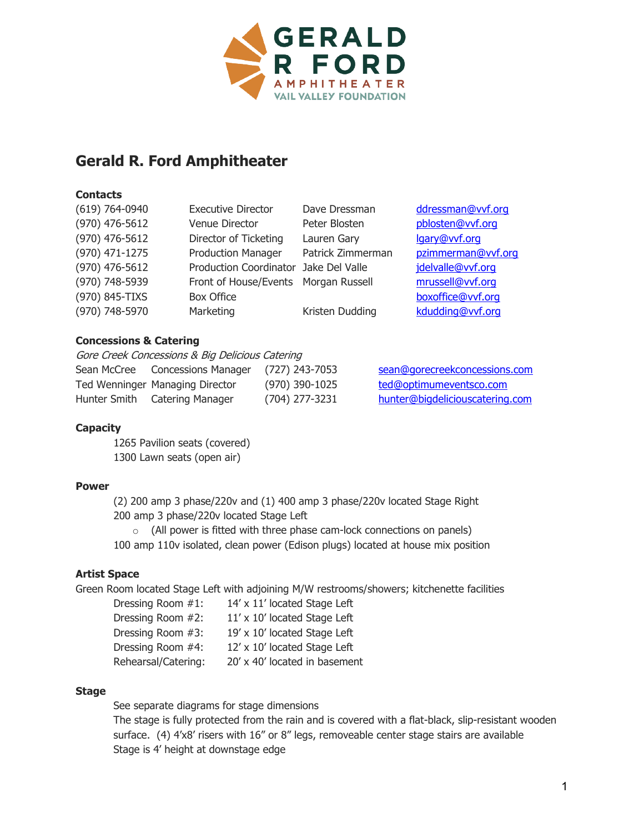

# **Gerald R. Ford Amphitheater**

#### **Contacts**

| $(619) 764 - 0940$ | <b>Executive Director</b>             | Dave Dressman     | ddressman@vvf.org  |
|--------------------|---------------------------------------|-------------------|--------------------|
| (970) 476-5612     | Venue Director                        | Peter Blosten     | pblosten@vvf.org   |
| (970) 476-5612     | Director of Ticketing                 | Lauren Gary       | lgary@vvf.org      |
| (970) 471-1275     | <b>Production Manager</b>             | Patrick Zimmerman | pzimmerman@vvf.org |
| (970) 476-5612     | Production Coordinator Jake Del Valle |                   | jdelvalle@vvf.org  |
| (970) 748-5939     | Front of House/Events Morgan Russell  |                   | mrussell@vvf.org   |
| (970) 845-TIXS     | <b>Box Office</b>                     |                   | boxoffice@vvf.org  |
| (970) 748-5970     | Marketing                             | Kristen Dudding   | kdudding@vvf.org   |
|                    |                                       |                   |                    |

# **Concessions & Catering**

Gore Creek Concessions & Big Delicious Catering

| Sean McCree | <b>Concessions Manager</b>      | (727) 243-7053 |
|-------------|---------------------------------|----------------|
|             | Ted Wenninger Managing Director | (970) 390-1025 |
|             | Hunter Smith Catering Manager   | (704) 277-3231 |

Sean @gorecreekconcessions.com Ted @optimumeventsco.com Hunter @bigdeliciouscatering.com

# **Capacity**

1265 Pavilion seats (covered) 1300 Lawn seats (open air)

#### **Power**

(2) 200 amp 3 phase/220v and (1) 400 amp 3 phase/220v located Stage Right 200 amp 3 phase/220v located Stage Left

 $\circ$  (All power is fitted with three phase cam-lock connections on panels) 100 amp 110v isolated, clean power (Edison plugs) located at house mix position

# **Artist Space**

Green Room located Stage Left with adjoining M/W restrooms/showers; kitchenette facilities

| Dressing Room #1:   | 14' x 11' located Stage Left  |
|---------------------|-------------------------------|
| Dressing Room #2:   | 11' x 10' located Stage Left  |
| Dressing Room #3:   | 19' x 10' located Stage Left  |
| Dressing Room #4:   | 12' x 10' located Stage Left  |
| Rehearsal/Catering: | 20' x 40' located in basement |

#### **Stage**

See separate diagrams for stage dimensions

The stage is fully protected from the rain and is covered with a flat-black, slip-resistant wooden surface. (4) 4'x8' risers with 16" or 8" legs, removeable center stage stairs are available Stage is 4' height at downstage edge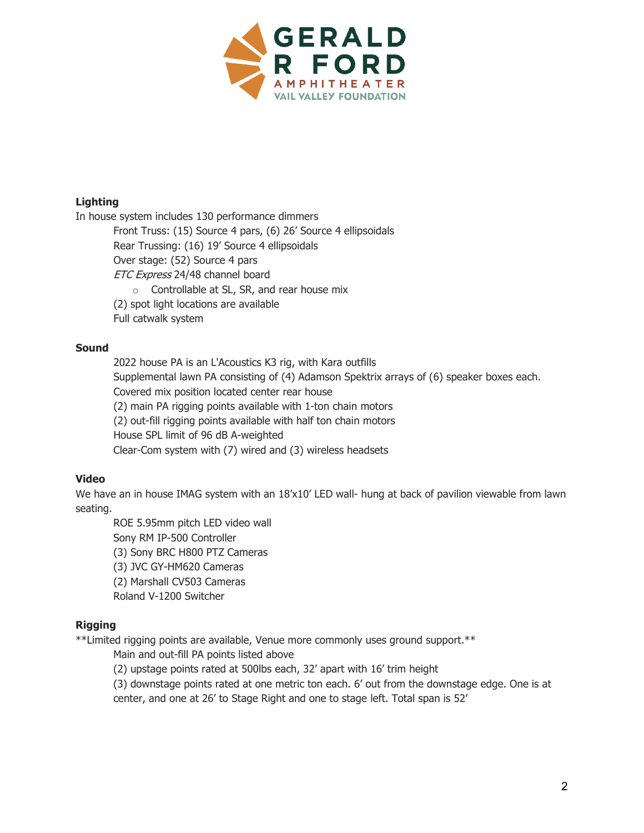

#### **Lighting**

In house system includes 130 performance dimmers

Front Truss: (15) Source 4 pars, (6) 26' Source 4 ellipsoidals Rear Trussing: (16) 19' Source 4 ellipsoidals Over stage: (52) Source 4 pars ETC Express 24/48 channel board o Controllable at SL, SR, and rear house mix (2) spot light locations are available Full catwalk system

# **Sound**

2022 house PA is an L'Acoustics K3 rig, with Kara outfills Supplemental lawn PA consisting of (4) Adamson Spektrix arrays of (6) speaker boxes each. Covered mix position located center rear house (2) main PA rigging points available with 1-ton chain motors (2) out-fill rigging points available with half ton chain motors House SPL limit of 96 dB A-weighted Clear-Com system with (7) wired and (3) wireless headsets

# **Video**

We have an in house IMAG system with an 18'x10' LED wall- hung at back of pavilion viewable from lawn seating.

ROE 5.95mm pitch LED video wall Sony RM IP-500 Controller (3) Sony BRC H800 PTZ Cameras (3) JVC GY-HM620 Cameras (2) Marshall CV503 Cameras Roland V-1200 Switcher

# **Rigging**

\*\*Limited rigging points are available, Venue more commonly uses ground support.\*\*

Main and out-fill PA points listed above

(2) upstage points rated at 500lbs each, 32' apart with 16' trim height

(3) downstage points rated at one metric ton each. 6' out from the downstage edge. One is at center, and one at 26' to Stage Right and one to stage left. Total span is 52'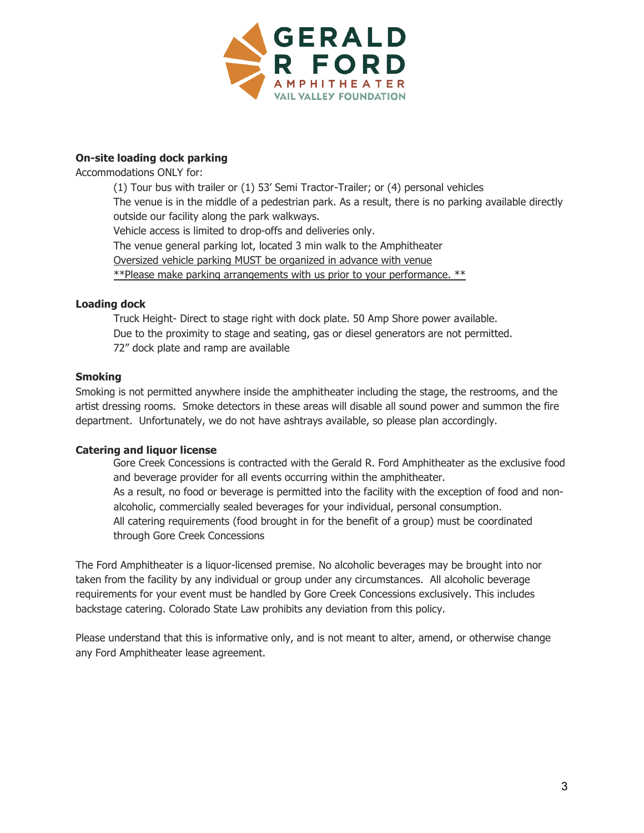

#### **On-site loading dock parking**

Accommodations ONLY for:

(1) Tour bus with trailer or (1) 53' Semi Tractor-Trailer; or (4) personal vehicles The venue is in the middle of a pedestrian park. As a result, there is no parking available directly outside our facility along the park walkways. Vehicle access is limited to drop-offs and deliveries only. The venue general parking lot, located 3 min walk to the Amphitheater Oversized vehicle parking MUST be organized in advance with venue \*\*Please make parking arrangements with us prior to your performance. \*\*

# **Loading dock**

Truck Height- Direct to stage right with dock plate. 50 Amp Shore power available. Due to the proximity to stage and seating, gas or diesel generators are not permitted. 72" dock plate and ramp are available

#### **Smoking**

Smoking is not permitted anywhere inside the amphitheater including the stage, the restrooms, and the artist dressing rooms. Smoke detectors in these areas will disable all sound power and summon the fire department. Unfortunately, we do not have ashtrays available, so please plan accordingly.

# **Catering and liquor license**

Gore Creek Concessions is contracted with the Gerald R. Ford Amphitheater as the exclusive food and beverage provider for all events occurring within the amphitheater. As a result, no food or beverage is permitted into the facility with the exception of food and nonalcoholic, commercially sealed beverages for your individual, personal consumption. All catering requirements (food brought in for the benefit of a group) must be coordinated through Gore Creek Concessions

The Ford Amphitheater is a liquor-licensed premise. No alcoholic beverages may be brought into nor taken from the facility by any individual or group under any circumstances. All alcoholic beverage requirements for your event must be handled by Gore Creek Concessions exclusively. This includes backstage catering. Colorado State Law prohibits any deviation from this policy.

Please understand that this is informative only, and is not meant to alter, amend, or otherwise change any Ford Amphitheater lease agreement.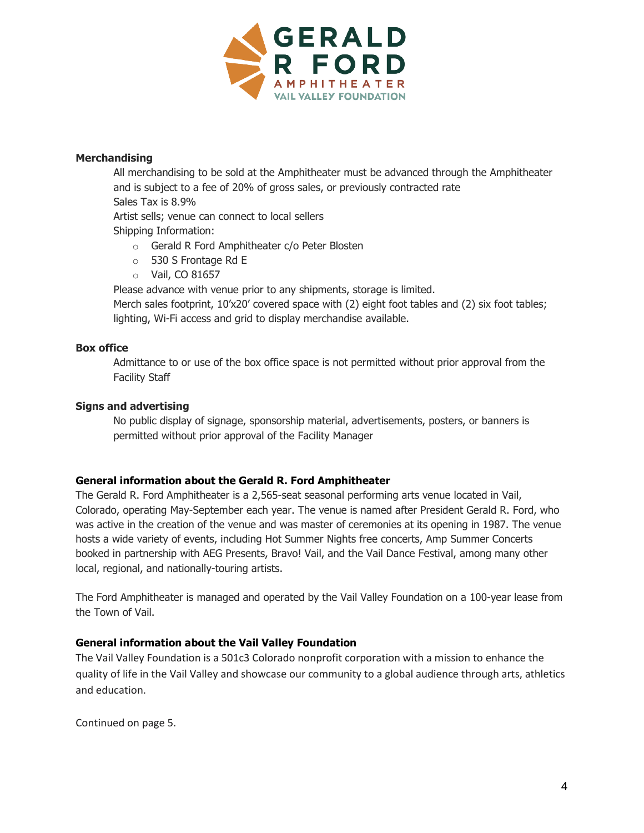

#### **Merchandising**

All merchandising to be sold at the Amphitheater must be advanced through the Amphitheater and is subject to a fee of 20% of gross sales, or previously contracted rate Sales Tax is 8.9%

Artist sells; venue can connect to local sellers

Shipping Information:

- o Gerald R Ford Amphitheater c/o Peter Blosten
- o 530 S Frontage Rd E
- o Vail, CO 81657

Please advance with venue prior to any shipments, storage is limited.

Merch sales footprint, 10'x20' covered space with (2) eight foot tables and (2) six foot tables; lighting, Wi-Fi access and grid to display merchandise available.

#### **Box office**

Admittance to or use of the box office space is not permitted without prior approval from the Facility Staff

# **Signs and advertising**

No public display of signage, sponsorship material, advertisements, posters, or banners is permitted without prior approval of the Facility Manager

# **General information about the Gerald R. Ford Amphitheater**

The Gerald R. Ford Amphitheater is a 2,565-seat seasonal performing arts venue located in Vail, Colorado, operating May-September each year. The venue is named after President Gerald R. Ford, who was active in the creation of the venue and was master of ceremonies at its opening in 1987. The venue hosts a wide variety of events, including Hot Summer Nights free concerts, Amp Summer Concerts booked in partnership with AEG Presents, Bravo! Vail, and the Vail Dance Festival, among many other local, regional, and nationally-touring artists.

The Ford Amphitheater is managed and operated by the Vail Valley Foundation on a 100-year lease from the Town of Vail.

# **General information about the Vail Valley Foundation**

The Vail Valley Foundation is a 501c3 Colorado nonprofit corporation with a mission to enhance the quality of life in the Vail Valley and showcase our community to a global audience through arts, athletics and education.

Continued on page 5.